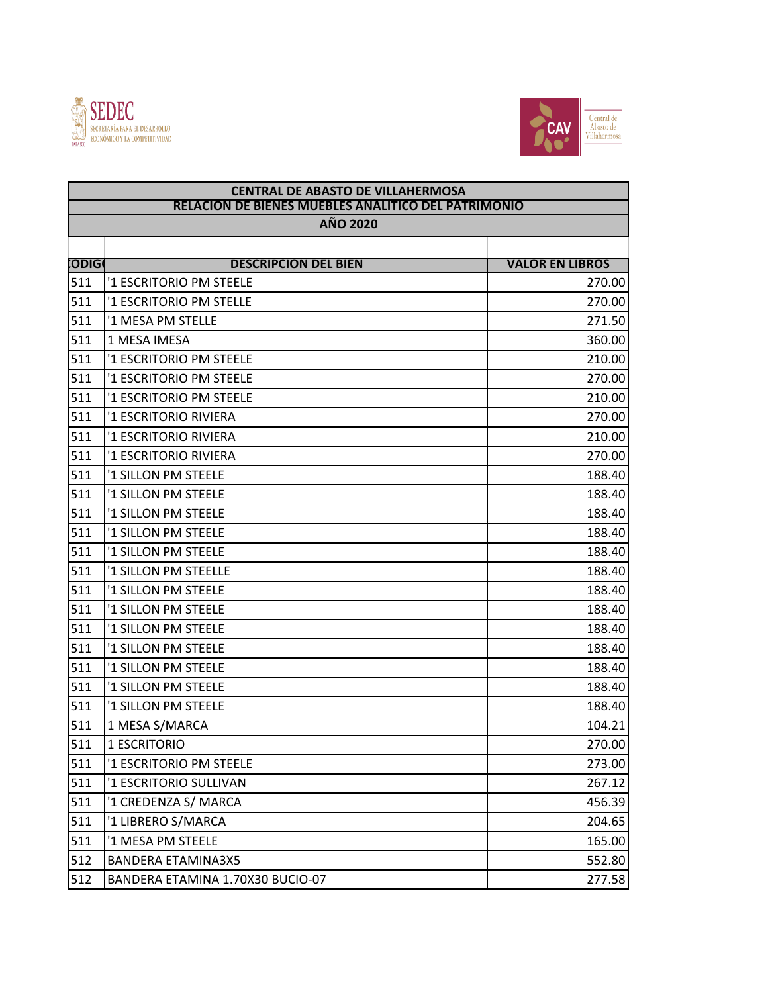



| <b>CENTRAL DE ABASTO DE VILLAHERMOSA</b><br><b>RELACION DE BIENES MUEBLES ANALITICO DEL PATRIMONIO</b><br><b>AÑO 2020</b> |                                  |                        |  |  |
|---------------------------------------------------------------------------------------------------------------------------|----------------------------------|------------------------|--|--|
|                                                                                                                           |                                  |                        |  |  |
| <b>CODIGO</b>                                                                                                             | <b>DESCRIPCION DEL BIEN</b>      | <b>VALOR EN LIBROS</b> |  |  |
| 511                                                                                                                       | '1 ESCRITORIO PM STEELE          | 270.00                 |  |  |
| 511                                                                                                                       | '1 ESCRITORIO PM STELLE          | 270.00                 |  |  |
| 511                                                                                                                       | '1 MESA PM STELLE                | 271.50                 |  |  |
| 511                                                                                                                       | 1 MESA IMESA                     | 360.00                 |  |  |
| 511                                                                                                                       | '1 ESCRITORIO PM STEELE          | 210.00                 |  |  |
| 511                                                                                                                       | '1 ESCRITORIO PM STEELE          | 270.00                 |  |  |
| 511                                                                                                                       | '1 ESCRITORIO PM STEELE          | 210.00                 |  |  |
| 511                                                                                                                       | '1 ESCRITORIO RIVIERA            | 270.00                 |  |  |
| 511                                                                                                                       | '1 ESCRITORIO RIVIERA            | 210.00                 |  |  |
| 511                                                                                                                       | '1 ESCRITORIO RIVIERA            | 270.00                 |  |  |
| 511                                                                                                                       | '1 SILLON PM STEELE              | 188.40                 |  |  |
| 511                                                                                                                       | '1 SILLON PM STEELE              | 188.40                 |  |  |
| 511                                                                                                                       | '1 SILLON PM STEELE              | 188.40                 |  |  |
| 511                                                                                                                       | '1 SILLON PM STEELE              | 188.40                 |  |  |
| 511                                                                                                                       | '1 SILLON PM STEELE              | 188.40                 |  |  |
| 511                                                                                                                       | '1 SILLON PM STEELLE             | 188.40                 |  |  |
| 511                                                                                                                       | '1 SILLON PM STEELE              | 188.40                 |  |  |
| 511                                                                                                                       | '1 SILLON PM STEELE              | 188.40                 |  |  |
| 511                                                                                                                       | '1 SILLON PM STEELE              | 188.40                 |  |  |
| 511                                                                                                                       | '1 SILLON PM STEELE              | 188.40                 |  |  |
| 511                                                                                                                       | '1 SILLON PM STEELE              | 188.40                 |  |  |
| 511                                                                                                                       | '1 SILLON PM STEELE              | 188.40                 |  |  |
| 511                                                                                                                       | '1 SILLON PM STEELE              | 188.40                 |  |  |
| 511                                                                                                                       | 1 MESA S/MARCA                   | 104.21                 |  |  |
| 511                                                                                                                       | 1 ESCRITORIO                     | 270.00                 |  |  |
| 511                                                                                                                       | '1 ESCRITORIO PM STEELE          | 273.00                 |  |  |
| 511                                                                                                                       | '1 ESCRITORIO SULLIVAN           | 267.12                 |  |  |
| 511                                                                                                                       | '1 CREDENZA S/ MARCA             | 456.39                 |  |  |
| 511                                                                                                                       | '1 LIBRERO S/MARCA               | 204.65                 |  |  |
| 511                                                                                                                       | '1 MESA PM STEELE                | 165.00                 |  |  |
| 512                                                                                                                       | <b>BANDERA ETAMINA3X5</b>        | 552.80                 |  |  |
| 512                                                                                                                       | BANDERA ETAMINA 1.70X30 BUCIO-07 | 277.58                 |  |  |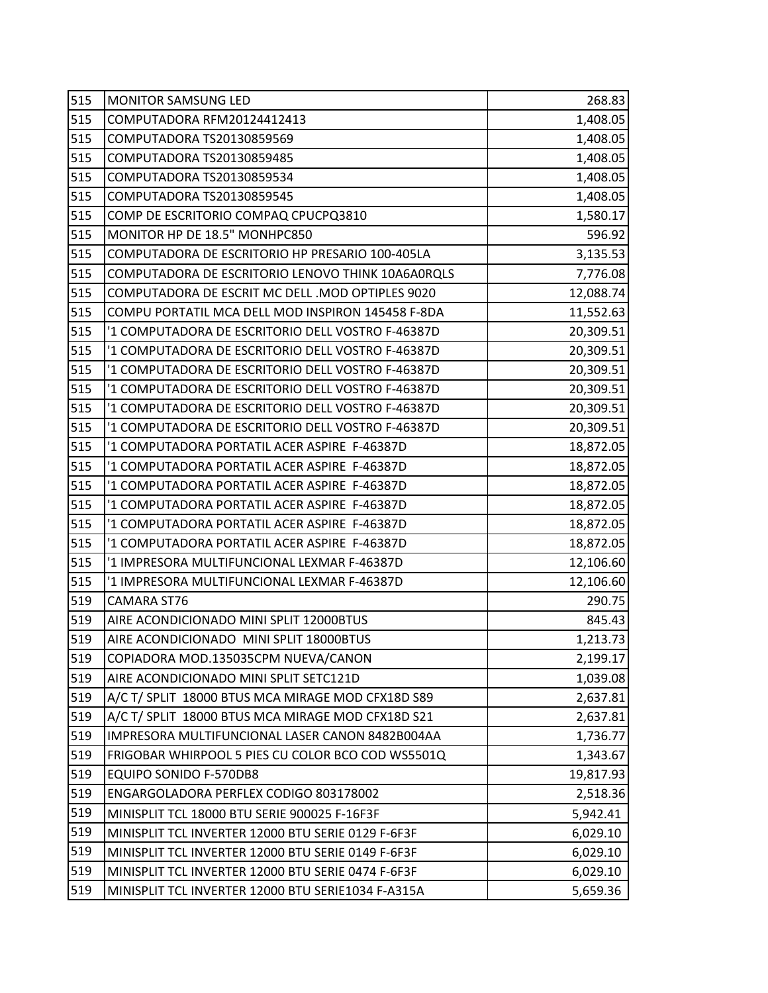| 515 | <b>MONITOR SAMSUNG LED</b>                         | 268.83    |
|-----|----------------------------------------------------|-----------|
| 515 | COMPUTADORA RFM20124412413                         | 1,408.05  |
| 515 | COMPUTADORA TS20130859569                          | 1,408.05  |
| 515 | COMPUTADORA TS20130859485                          | 1,408.05  |
| 515 | COMPUTADORA TS20130859534                          | 1,408.05  |
| 515 | COMPUTADORA TS20130859545                          | 1,408.05  |
| 515 | COMP DE ESCRITORIO COMPAQ CPUCPQ3810               | 1,580.17  |
| 515 | MONITOR HP DE 18.5" MONHPC850                      | 596.92    |
| 515 | COMPUTADORA DE ESCRITORIO HP PRESARIO 100-405LA    | 3,135.53  |
| 515 | COMPUTADORA DE ESCRITORIO LENOVO THINK 10A6A0RQLS  | 7,776.08  |
| 515 | COMPUTADORA DE ESCRIT MC DELL .MOD OPTIPLES 9020   | 12,088.74 |
| 515 | COMPU PORTATIL MCA DELL MOD INSPIRON 145458 F-8DA  | 11,552.63 |
| 515 | '1 COMPUTADORA DE ESCRITORIO DELL VOSTRO F-46387D  | 20,309.51 |
| 515 | '1 COMPUTADORA DE ESCRITORIO DELL VOSTRO F-46387D  | 20,309.51 |
| 515 | '1 COMPUTADORA DE ESCRITORIO DELL VOSTRO F-46387D  | 20,309.51 |
| 515 | '1 COMPUTADORA DE ESCRITORIO DELL VOSTRO F-46387D  | 20,309.51 |
| 515 | '1 COMPUTADORA DE ESCRITORIO DELL VOSTRO F-46387D  | 20,309.51 |
| 515 | '1 COMPUTADORA DE ESCRITORIO DELL VOSTRO F-46387D  | 20,309.51 |
| 515 | '1 COMPUTADORA PORTATIL ACER ASPIRE F-46387D       | 18,872.05 |
| 515 | '1 COMPUTADORA PORTATIL ACER ASPIRE F-46387D       | 18,872.05 |
| 515 | '1 COMPUTADORA PORTATIL ACER ASPIRE F-46387D       | 18,872.05 |
| 515 | '1 COMPUTADORA PORTATIL ACER ASPIRE F-46387D       | 18,872.05 |
| 515 | '1 COMPUTADORA PORTATIL ACER ASPIRE F-46387D       | 18,872.05 |
| 515 | '1 COMPUTADORA PORTATIL ACER ASPIRE F-46387D       | 18,872.05 |
| 515 | '1 IMPRESORA MULTIFUNCIONAL LEXMAR F-46387D        | 12,106.60 |
| 515 | '1 IMPRESORA MULTIFUNCIONAL LEXMAR F-46387D        | 12,106.60 |
| 519 | CAMARA ST76                                        | 290.75    |
| 519 | AIRE ACONDICIONADO MINI SPLIT 12000BTUS            | 845.43    |
| 519 | AIRE ACONDICIONADO MINI SPLIT 18000BTUS            | 1,213.73  |
| 519 | COPIADORA MOD.135035CPM NUEVA/CANON                | 2,199.17  |
| 519 | AIRE ACONDICIONADO MINI SPLIT SETC121D             | 1,039.08  |
| 519 | A/C T/ SPLIT 18000 BTUS MCA MIRAGE MOD CFX18D S89  | 2,637.81  |
| 519 | A/C T/ SPLIT 18000 BTUS MCA MIRAGE MOD CFX18D S21  | 2,637.81  |
| 519 | IMPRESORA MULTIFUNCIONAL LASER CANON 8482B004AA    | 1,736.77  |
| 519 | FRIGOBAR WHIRPOOL 5 PIES CU COLOR BCO COD WS5501Q  | 1,343.67  |
| 519 | EQUIPO SONIDO F-570DB8                             | 19,817.93 |
| 519 | ENGARGOLADORA PERFLEX CODIGO 803178002             | 2,518.36  |
| 519 | MINISPLIT TCL 18000 BTU SERIE 900025 F-16F3F       | 5,942.41  |
| 519 | MINISPLIT TCL INVERTER 12000 BTU SERIE 0129 F-6F3F | 6,029.10  |
| 519 | MINISPLIT TCL INVERTER 12000 BTU SERIE 0149 F-6F3F | 6,029.10  |
| 519 | MINISPLIT TCL INVERTER 12000 BTU SERIE 0474 F-6F3F | 6,029.10  |
| 519 | MINISPLIT TCL INVERTER 12000 BTU SERIE1034 F-A315A | 5,659.36  |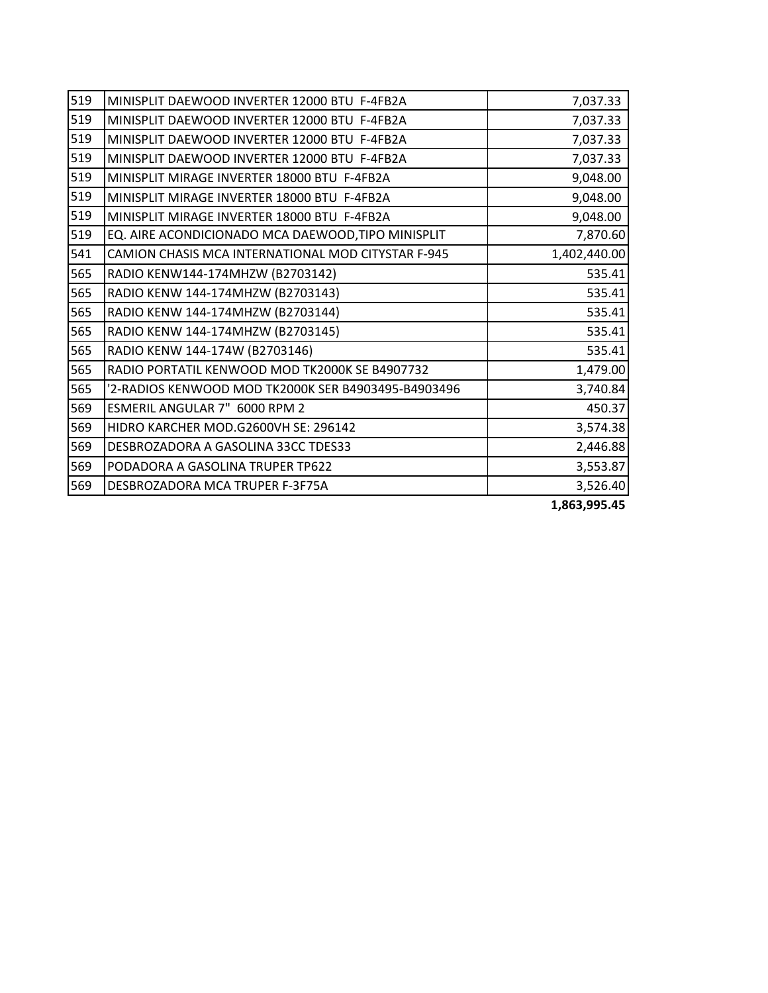| 519 | MINISPLIT DAEWOOD INVERTER 12000 BTU F-4FB2A        | 7,037.33     |
|-----|-----------------------------------------------------|--------------|
| 519 | MINISPLIT DAEWOOD INVERTER 12000 BTU F-4FB2A        | 7,037.33     |
| 519 | MINISPLIT DAEWOOD INVERTER 12000 BTU F-4FB2A        | 7,037.33     |
| 519 | MINISPLIT DAEWOOD INVERTER 12000 BTU F-4FB2A        | 7,037.33     |
| 519 | MINISPLIT MIRAGE INVERTER 18000 BTU F-4FB2A         | 9,048.00     |
| 519 | MINISPLIT MIRAGE INVERTER 18000 BTU F-4FB2A         | 9,048.00     |
| 519 | MINISPLIT MIRAGE INVERTER 18000 BTU F-4FB2A         | 9,048.00     |
| 519 | EQ. AIRE ACONDICIONADO MCA DAEWOOD, TIPO MINISPLIT  | 7,870.60     |
| 541 | CAMION CHASIS MCA INTERNATIONAL MOD CITYSTAR F-945  | 1,402,440.00 |
| 565 | RADIO KENW144-174MHZW (B2703142)                    | 535.41       |
| 565 | RADIO KENW 144-174MHZW (B2703143)                   | 535.41       |
| 565 | RADIO KENW 144-174MHZW (B2703144)                   | 535.41       |
| 565 | RADIO KENW 144-174MHZW (B2703145)                   | 535.41       |
| 565 | RADIO KENW 144-174W (B2703146)                      | 535.41       |
| 565 | RADIO PORTATIL KENWOOD MOD TK2000K SE B4907732      | 1,479.00     |
| 565 | '2-RADIOS KENWOOD MOD TK2000K SER B4903495-B4903496 | 3,740.84     |
| 569 | ESMERIL ANGULAR 7" 6000 RPM 2                       | 450.37       |
| 569 | HIDRO KARCHER MOD.G2600VH SE: 296142                | 3,574.38     |
| 569 | DESBROZADORA A GASOLINA 33CC TDES33                 | 2,446.88     |
| 569 | PODADORA A GASOLINA TRUPER TP622                    | 3,553.87     |
| 569 | DESBROZADORA MCA TRUPER F-3F75A                     | 3,526.40     |

**1,863,995.45**